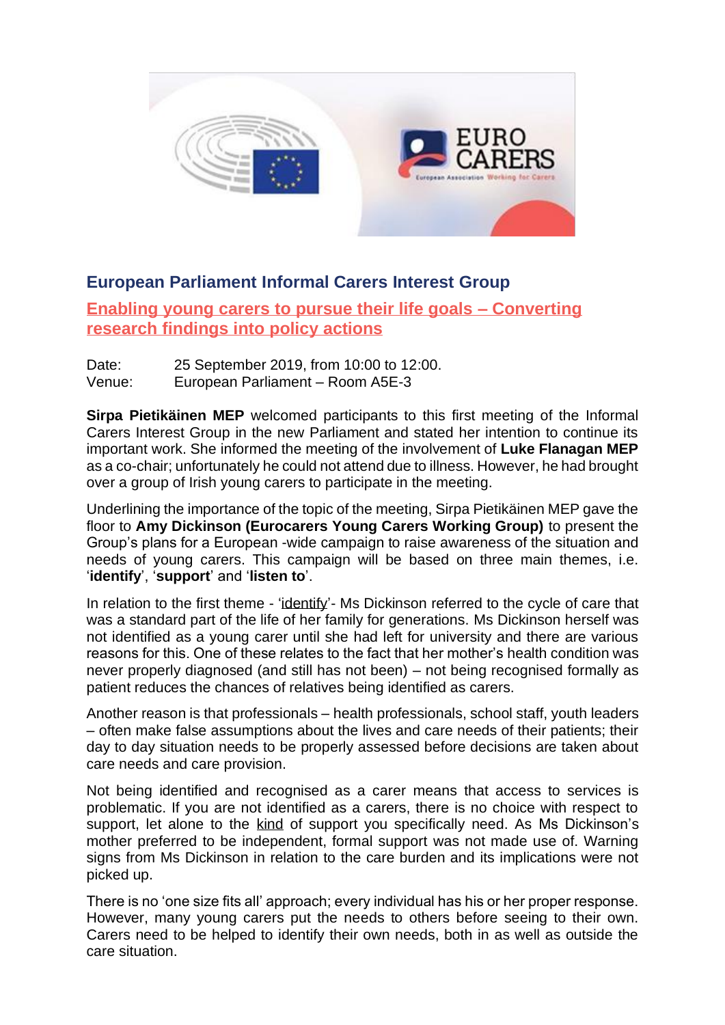

## **European Parliament Informal Carers Interest Group**

**Enabling young carers to pursue their life goals – Converting research findings into policy actions**

Date: 25 September 2019, from 10:00 to 12:00. Venue: European Parliament – Room A5E-3

**Sirpa Pietikäinen MEP** welcomed participants to this first meeting of the Informal Carers Interest Group in the new Parliament and stated her intention to continue its important work. She informed the meeting of the involvement of **Luke Flanagan MEP** as a co-chair; unfortunately he could not attend due to illness. However, he had brought over a group of Irish young carers to participate in the meeting.

Underlining the importance of the topic of the meeting, Sirpa Pietikäinen MEP gave the floor to **Amy Dickinson (Eurocarers Young Carers Working Group)** to present the Group's plans for a European -wide campaign to raise awareness of the situation and needs of young carers. This campaign will be based on three main themes, i.e. '**identify**', '**support**' and '**listen to**'.

In relation to the first theme - 'identify'- Ms Dickinson referred to the cycle of care that was a standard part of the life of her family for generations. Ms Dickinson herself was not identified as a young carer until she had left for university and there are various reasons for this. One of these relates to the fact that her mother's health condition was never properly diagnosed (and still has not been) – not being recognised formally as patient reduces the chances of relatives being identified as carers.

Another reason is that professionals – health professionals, school staff, youth leaders – often make false assumptions about the lives and care needs of their patients; their day to day situation needs to be properly assessed before decisions are taken about care needs and care provision.

Not being identified and recognised as a carer means that access to services is problematic. If you are not identified as a carers, there is no choice with respect to support, let alone to the kind of support you specifically need. As Ms Dickinson's mother preferred to be independent, formal support was not made use of. Warning signs from Ms Dickinson in relation to the care burden and its implications were not picked up.

There is no 'one size fits all' approach; every individual has his or her proper response. However, many young carers put the needs to others before seeing to their own. Carers need to be helped to identify their own needs, both in as well as outside the care situation.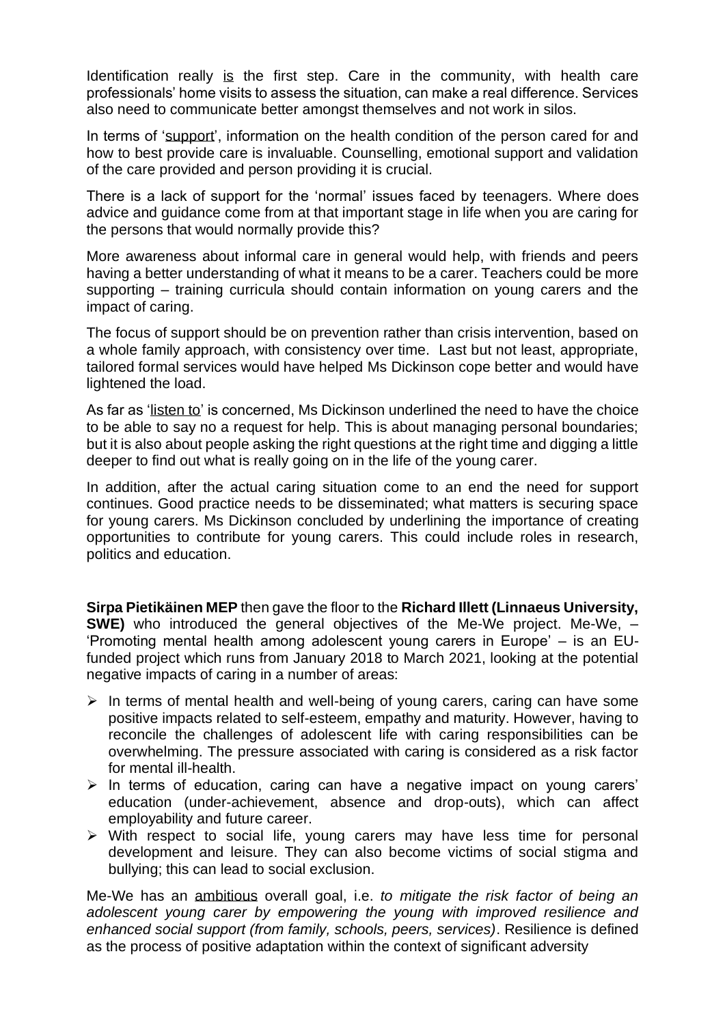Identification really is the first step. Care in the community, with health care professionals' home visits to assess the situation, can make a real difference. Services also need to communicate better amongst themselves and not work in silos.

In terms of 'support', information on the health condition of the person cared for and how to best provide care is invaluable. Counselling, emotional support and validation of the care provided and person providing it is crucial.

There is a lack of support for the 'normal' issues faced by teenagers. Where does advice and guidance come from at that important stage in life when you are caring for the persons that would normally provide this?

More awareness about informal care in general would help, with friends and peers having a better understanding of what it means to be a carer. Teachers could be more supporting – training curricula should contain information on young carers and the impact of caring.

The focus of support should be on prevention rather than crisis intervention, based on a whole family approach, with consistency over time. Last but not least, appropriate, tailored formal services would have helped Ms Dickinson cope better and would have lightened the load.

As far as 'listen to' is concerned, Ms Dickinson underlined the need to have the choice to be able to say no a request for help. This is about managing personal boundaries; but it is also about people asking the right questions at the right time and digging a little deeper to find out what is really going on in the life of the young carer.

In addition, after the actual caring situation come to an end the need for support continues. Good practice needs to be disseminated; what matters is securing space for young carers. Ms Dickinson concluded by underlining the importance of creating opportunities to contribute for young carers. This could include roles in research, politics and education.

**Sirpa Pietikäinen MEP** then gave the floor to the **Richard Illett (Linnaeus University, SWE)** who introduced the general objectives of the [Me-We project.](https://me-we.eu/) Me-We,  $-$ 'Promoting mental health among adolescent young carers in Europe' – is an EUfunded project which runs from January 2018 to March 2021, looking at the potential negative impacts of caring in a number of areas:

- ➢ In terms of mental health and well-being of young carers, caring can have some positive impacts related to self-esteem, empathy and maturity. However, having to reconcile the challenges of adolescent life with caring responsibilities can be overwhelming. The pressure associated with caring is considered as a risk factor for mental ill-health.
- ➢ In terms of education, caring can have a negative impact on young carers' education (under-achievement, absence and drop-outs), which can affect employability and future career.
- ➢ With respect to social life, young carers may have less time for personal development and leisure. They can also become victims of social stigma and bullying; this can lead to social exclusion.

Me-We has an ambitious overall goal, i.e. *to mitigate the risk factor of being an adolescent young carer by empowering the young with improved resilience and enhanced social support (from family, schools, peers, services)*. Resilience is defined as the process of positive adaptation within the context of significant adversity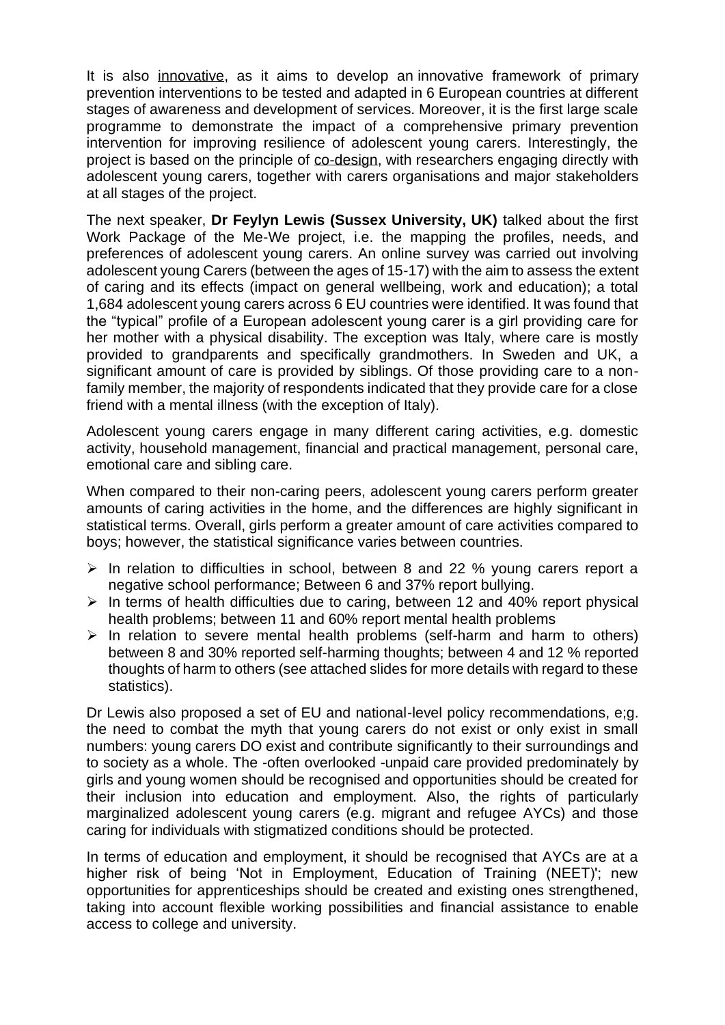It is also innovative, as it aims to develop an innovative framework of primary prevention interventions to be tested and adapted in 6 European countries at different stages of awareness and development of services. Moreover, it is the first large scale programme to demonstrate the impact of a comprehensive primary prevention intervention for improving resilience of adolescent young carers. Interestingly, the project is based on the principle of co-design, with researchers engaging directly with adolescent young carers, together with carers organisations and major stakeholders at all stages of the project.

The next speaker, **Dr Feylyn Lewis (Sussex University, UK)** talked about the first Work Package of the Me-We project, i.e. the mapping the profiles, needs, and preferences of adolescent young carers. An online survey was carried out involving adolescent young Carers (between the ages of 15-17) with the aim to assess the extent of caring and its effects (impact on general wellbeing, work and education); a total 1,684 adolescent young carers across 6 EU countries were identified. It was found that the "typical" profile of a European adolescent young carer is a girl providing care for her mother with a physical disability. The exception was Italy, where care is mostly provided to grandparents and specifically grandmothers. In Sweden and UK, a significant amount of care is provided by siblings. Of those providing care to a nonfamily member, the majority of respondents indicated that they provide care for a close friend with a mental illness (with the exception of Italy).

Adolescent young carers engage in many different caring activities, e.g. domestic activity, household management, financial and practical management, personal care, emotional care and sibling care.

When compared to their non-caring peers, adolescent young carers perform greater amounts of caring activities in the home, and the differences are highly significant in statistical terms. Overall, girls perform a greater amount of care activities compared to boys; however, the statistical significance varies between countries.

- $\triangleright$  In relation to difficulties in school, between 8 and 22 % young carers report a negative school performance; Between 6 and 37% report bullying.
- ➢ In terms of health difficulties due to caring, between 12 and 40% report physical health problems; between 11 and 60% report mental health problems
- $\triangleright$  In relation to severe mental health problems (self-harm and harm to others) between 8 and 30% reported self-harming thoughts; between 4 and 12 % reported thoughts of harm to others (see attached slides for more details with regard to these statistics).

Dr Lewis also proposed a set of EU and national-level policy recommendations, e;g. the need to combat the myth that young carers do not exist or only exist in small numbers: young carers DO exist and contribute significantly to their surroundings and to society as a whole. The -often overlooked -unpaid care provided predominately by girls and young women should be recognised and opportunities should be created for their inclusion into education and employment. Also, the rights of particularly marginalized adolescent young carers (e.g. migrant and refugee AYCs) and those caring for individuals with stigmatized conditions should be protected.

In terms of education and employment, it should be recognised that AYCs are at a higher risk of being 'Not in Employment, Education of Training (NEET)'; new opportunities for apprenticeships should be created and existing ones strengthened, taking into account flexible working possibilities and financial assistance to enable access to college and university.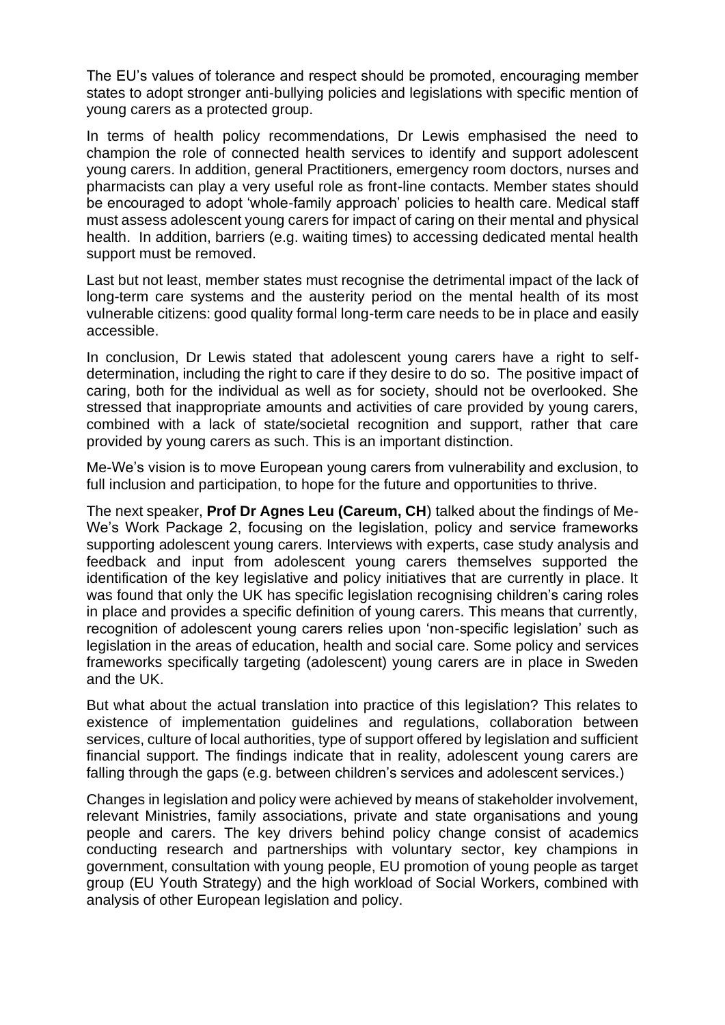The EU's values of tolerance and respect should be promoted, encouraging member states to adopt stronger anti-bullying policies and legislations with specific mention of young carers as a protected group.

In terms of health policy recommendations, Dr Lewis emphasised the need to champion the role of connected health services to identify and support adolescent young carers. In addition, general Practitioners, emergency room doctors, nurses and pharmacists can play a very useful role as front-line contacts. Member states should be encouraged to adopt 'whole-family approach' policies to health care. Medical staff must assess adolescent young carers for impact of caring on their mental and physical health. In addition, barriers (e.g. waiting times) to accessing dedicated mental health support must be removed.

Last but not least, member states must recognise the detrimental impact of the lack of long-term care systems and the austerity period on the mental health of its most vulnerable citizens: good quality formal long-term care needs to be in place and easily accessible.

In conclusion, Dr Lewis stated that adolescent young carers have a right to selfdetermination, including the right to care if they desire to do so. The positive impact of caring, both for the individual as well as for society, should not be overlooked. She stressed that inappropriate amounts and activities of care provided by young carers, combined with a lack of state/societal recognition and support, rather that care provided by young carers as such. This is an important distinction.

Me-We's vision is to move European young carers from vulnerability and exclusion, to full inclusion and participation, to hope for the future and opportunities to thrive.

The next speaker, **Prof Dr Agnes Leu (Careum, CH**) talked about the findings of Me-We's Work Package 2, focusing on the legislation, policy and service frameworks supporting adolescent young carers. Interviews with experts, case study analysis and feedback and input from adolescent young carers themselves supported the identification of the key legislative and policy initiatives that are currently in place. It was found that only the UK has specific legislation recognising children's caring roles in place and provides a specific definition of young carers. This means that currently, recognition of adolescent young carers relies upon 'non-specific legislation' such as legislation in the areas of education, health and social care. Some policy and services frameworks specifically targeting (adolescent) young carers are in place in Sweden and the UK.

But what about the actual translation into practice of this legislation? This relates to existence of implementation guidelines and regulations, collaboration between services, culture of local authorities, type of support offered by legislation and sufficient financial support. The findings indicate that in reality, adolescent young carers are falling through the gaps (e.g. between children's services and adolescent services.)

Changes in legislation and policy were achieved by means of stakeholder involvement, relevant Ministries, family associations, private and state organisations and young people and carers. The key drivers behind policy change consist of academics conducting research and partnerships with voluntary sector, key champions in government, consultation with young people, EU promotion of young people as target group (EU Youth Strategy) and the high workload of Social Workers, combined with analysis of other European legislation and policy.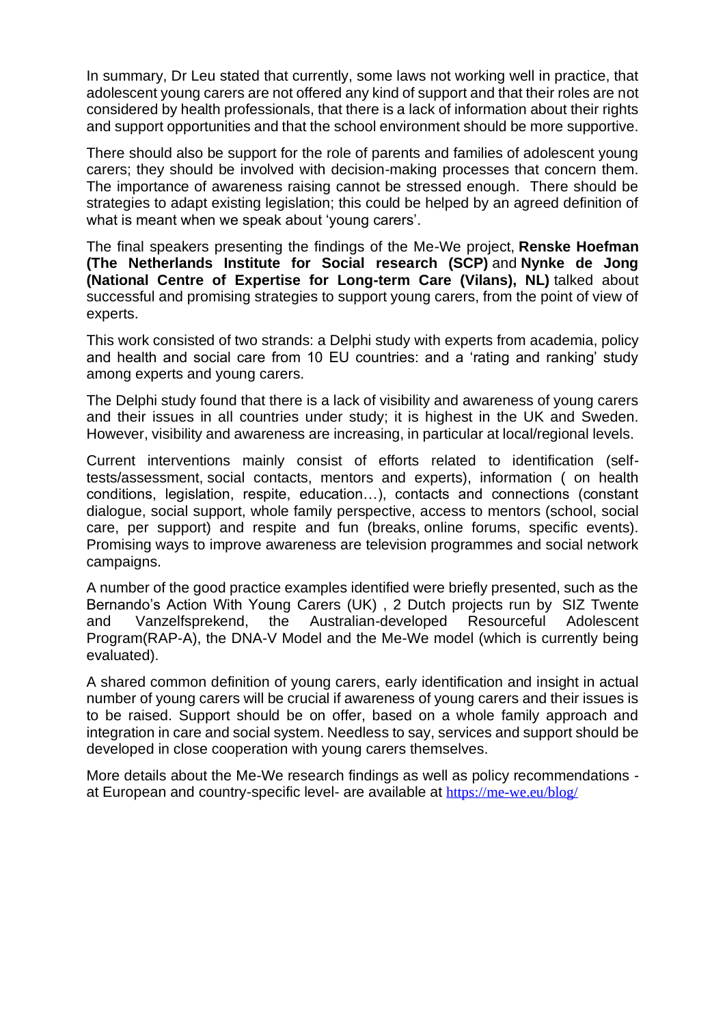In summary, Dr Leu stated that currently, some laws not working well in practice, that adolescent young carers are not offered any kind of support and that their roles are not considered by health professionals, that there is a lack of information about their rights and support opportunities and that the school environment should be more supportive.

There should also be support for the role of parents and families of adolescent young carers; they should be involved with decision-making processes that concern them. The importance of awareness raising cannot be stressed enough. There should be strategies to adapt existing legislation; this could be helped by an agreed definition of what is meant when we speak about 'young carers'.

The final speakers presenting the findings of the Me-We project, **Renske Hoefman (The Netherlands Institute for Social research (SCP)** and **Nynke de Jong (National Centre of Expertise for Long-term Care (Vilans), NL)** talked about successful and promising strategies to support young carers, from the point of view of experts.

This work consisted of two strands: a Delphi study with experts from academia, policy and health and social care from 10 EU countries: and a 'rating and ranking' study among experts and young carers.

The Delphi study found that there is a lack of visibility and awareness of young carers and their issues in all countries under study; it is highest in the UK and Sweden. However, visibility and awareness are increasing, in particular at local/regional levels.

Current interventions mainly consist of efforts related to identification (selftests/assessment, social contacts, mentors and experts), information ( on health conditions, legislation, respite, education…), contacts and connections (constant dialogue, social support, whole family perspective, access to mentors (school, social care, per support) and respite and fun (breaks, online forums, specific events). Promising ways to improve awareness are television programmes and social network campaigns.

A number of the good practice examples identified were briefly presented, such as the Bernando's Action With Young Carers (UK) , 2 Dutch projects run by SIZ Twente and Vanzelfsprekend, the Australian-developed Resourceful Adolescent Program(RAP-A), the DNA-V Model and the Me-We model (which is currently being evaluated).

A shared common definition of young carers, early identification and insight in actual number of young carers will be crucial if awareness of young carers and their issues is to be raised. Support should be on offer, based on a whole family approach and integration in care and social system. Needless to say, services and support should be developed in close cooperation with young carers themselves.

More details about the Me-We research findings as well as policy recommendations at European and country-specific level- are available at <https://me-we.eu/blog/>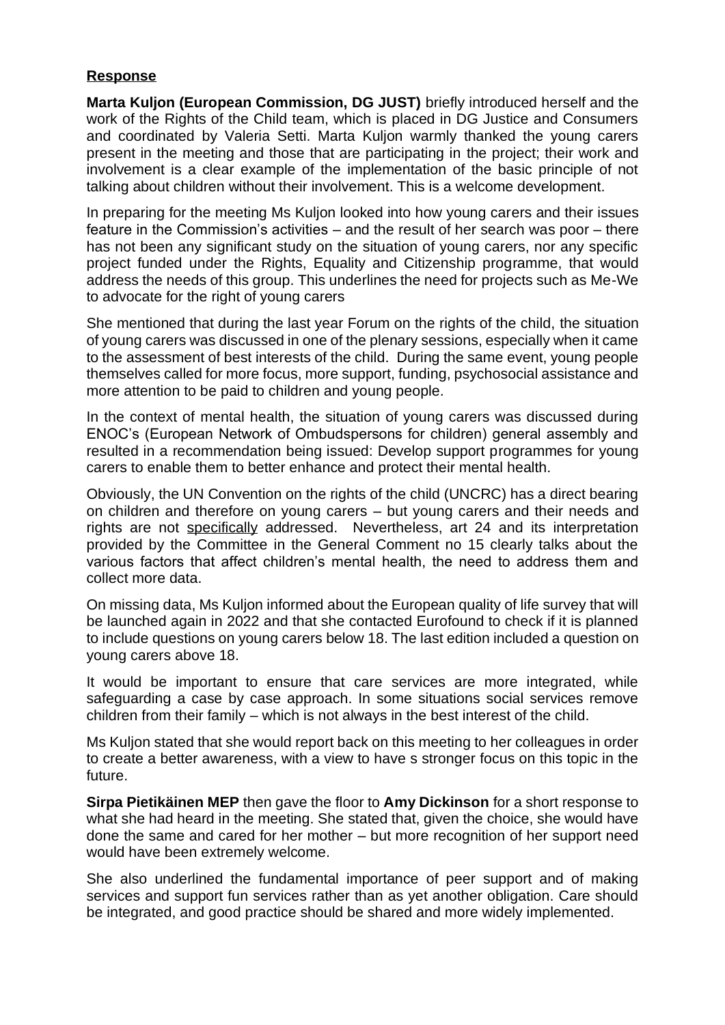## **Response**

**Marta Kuljon (European Commission, DG JUST)** briefly introduced herself and the work of the Rights of the Child team, which is placed in DG Justice and Consumers and coordinated by Valeria Setti. Marta Kuljon warmly thanked the young carers present in the meeting and those that are participating in the project; their work and involvement is a clear example of the implementation of the basic principle of not talking about children without their involvement. This is a welcome development.

In preparing for the meeting Ms Kuljon looked into how young carers and their issues feature in the Commission's activities – and the result of her search was poor – there has not been any significant study on the situation of young carers, nor any specific project funded under the Rights, Equality and Citizenship programme, that would address the needs of this group. This underlines the need for projects such as Me-We to advocate for the right of young carers

She mentioned that during the last year Forum on the rights of the child, the situation of young carers was discussed in one of the plenary sessions, especially when it came to the assessment of best interests of the child. During the same event, young people themselves called for more focus, more support, funding, psychosocial assistance and more attention to be paid to children and young people.

In the context of mental health, the situation of young carers was discussed during ENOC's (European Network of Ombudspersons for children) general assembly and resulted in a recommendation being issued: Develop support programmes for young carers to enable them to better enhance and protect their mental health.

Obviously, the UN Convention on the rights of the child (UNCRC) has a direct bearing on children and therefore on young carers – but young carers and their needs and rights are not specifically addressed. Nevertheless, art 24 and its interpretation provided by the Committee in the General Comment no 15 clearly talks about the various factors that affect children's mental health, the need to address them and collect more data.

On missing data, Ms Kuljon informed about the European quality of life survey that will be launched again in 2022 and that she contacted Eurofound to check if it is planned to include questions on young carers below 18. The last edition included a question on young carers above 18.

It would be important to ensure that care services are more integrated, while safeguarding a case by case approach. In some situations social services remove children from their family – which is not always in the best interest of the child.

Ms Kuljon stated that she would report back on this meeting to her colleagues in order to create a better awareness, with a view to have s stronger focus on this topic in the future.

**Sirpa Pietikäinen MEP** then gave the floor to **Amy Dickinson** for a short response to what she had heard in the meeting. She stated that, given the choice, she would have done the same and cared for her mother – but more recognition of her support need would have been extremely welcome.

She also underlined the fundamental importance of peer support and of making services and support fun services rather than as yet another obligation. Care should be integrated, and good practice should be shared and more widely implemented.